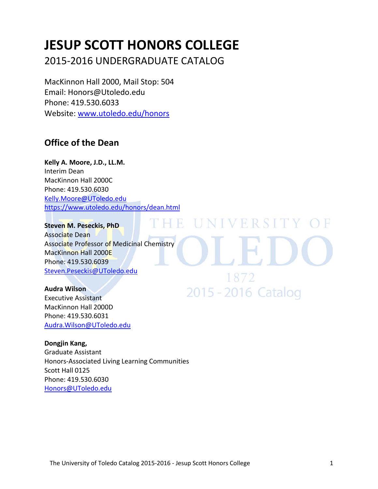# **JESUP SCOTT HONORS COLLEGE**

2015-2016 UNDERGRADUATE CATALOG

MacKinnon Hall 2000, Mail Stop: 504 Email: Honors@Utoledo.edu Phone: 419.530.6033 Website: [www.utoledo.edu/honors](http://www.utoledo.edu/honors)

# **Office of the Dean**

**Kelly A. Moore, J.D., LL.M.** Interim Dean MacKinnon Hall 2000C Phone: 419.530.6030 [Kelly.Moore@UToledo.edu](mailto:Kelly.Moore@UToledo.edu) <https://www.utoledo.edu/honors/dean.html>

DH R **Steven M. Peseckis, PhD** Associate Dean Associate Professor of Medicinal Chemistry MacKinnon Hall 2000E Phone: 419.530.6039 [Steven.Peseckis@UToledo.edu](mailto:Steven.Peseckis@UToledo.edu)

**Audra Wilson** Executive Assistant MacKinnon Hall 2000D Phone: 419.530.6031 [Audra.Wilson@UToledo.edu](mailto:Audra.Wilson@UToledo.edu)

**Dongjin Kang,**  Graduate Assistant Honors-Associated Living Learning Communities Scott Hall 0125 Phone: 419.530.6030 [Honors@UToledo.edu](mailto:Honors@UToledo.edu)

UNIVERSITY OF

1872

2015 - 2016 Catalog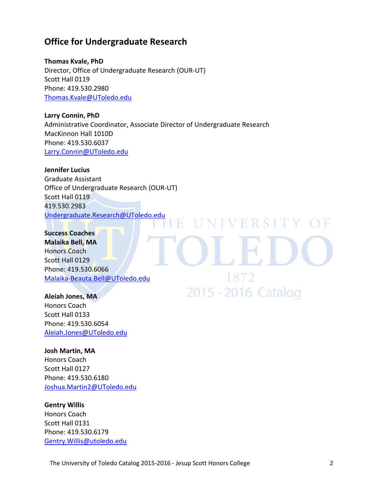# **Office for Undergraduate Research**

**Thomas Kvale, PhD** Director, Office of Undergraduate Research (OUR-UT) Scott Hall 0119 Phone: 419.530.2980 [Thomas.Kvale@UToledo.edu](mailto:Thomas.Kvale@UToledo.edu)

**Larry Connin, PhD** Administrative Coordinator, Associate Director of Undergraduate Research MacKinnon Hall 1010D Phone: 419.530.6037 [Larry.Connin@UToledo.edu](mailto:Larry.Connin@UToledo.edu)

R

**Jennifer Lucius**  Graduate Assistant Office of Undergraduate Research (OUR-UT) Scott Hall 0119 419.530.2983 [Undergraduate.Research@UToledo.edu](mailto:Undergraduate.Research@UToledo.edu)

**Success Coaches Malaika Bell, MA** Honors Coach Scott Hall 0129 Phone: 419.530.6066 [Malaika-Beauta.Bell@UToledo.edu](mailto:Malaika-Beauta.Bell@UToledo.edu)

**Aleiah Jones, MA** Honors Coach Scott Hall 0133 Phone: 419.530.6054 [Aleiah.Jones@UToledo.edu](mailto:Aleiah.Jones@UToledo.edu)

### **Josh Martin, MA**

Honors Coach Scott Hall 0127 Phone: 419.530.6180 [Joshua.Martin2@UToledo.edu](mailto:Joshua.Martin2@UToledo.edu)

### **Gentry Willis**

Honors Coach Scott Hall 0131 Phone: 419.530.6179 [Gentry.Willis@utoledo.edu](mailto:Gentry.Willis@utoledo.edu) UNIVERSITY OF

1872

2015 - 2016 Catalog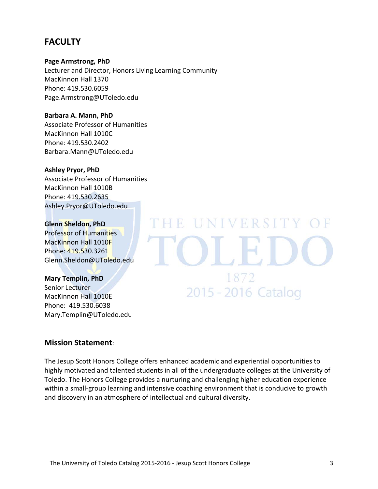# **FACULTY**

**Page Armstrong, PhD**

Lecturer and Director, Honors Living Learning Community MacKinnon Hall 1370 Phone: 419.530.6059 Page.Armstrong@UToledo.edu

**Barbara A. Mann, PhD** Associate Professor of Humanities MacKinnon Hall 1010C Phone: 419.530.2402 Barbara.Mann@UToledo.edu

# **Ashley Pryor, PhD**

Associate Professor of Humanities MacKinnon Hall 1010B Phone: 419.530.2635 Ashley.Pryor@UToledo.edu

# **Glenn Sheldon, PhD**

Professor of Humanities MacKinnon Hall 1010F Phone: 419.530.3261 Glenn.Sheldon@UToledo.edu

### **Mary Templin, PhD**

Senior Lecturer MacKinnon Hall 1010E Phone: 419.530.6038 Mary.Templin@UToledo.edu

# **Mission Statement**:

The Jesup Scott Honors College offers enhanced academic and experiential opportunities to highly motivated and talented students in all of the undergraduate colleges at the University of Toledo. The Honors College provides a nurturing and challenging higher education experience within a small-group learning and intensive coaching environment that is conducive to growth and discovery in an atmosphere of intellectual and cultural diversity.

# 1872 2015 - 2016 Catalog

E UNIVERSITY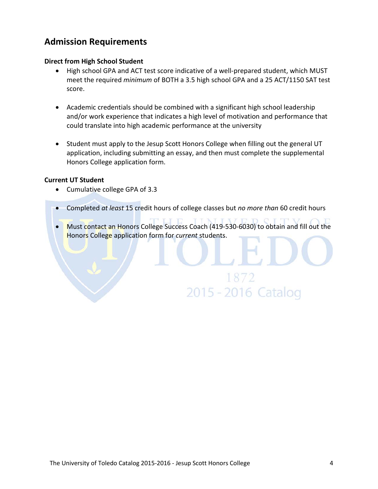# **Admission Requirements**

# **Direct from High School Student**

- High school GPA and ACT test score indicative of a well-prepared student, which MUST meet the required *minimum* of BOTH a 3.5 high school GPA and a 25 ACT/1150 SAT test score.
- Academic credentials should be combined with a significant high school leadership and/or work experience that indicates a high level of motivation and performance that could translate into high academic performance at the university
- Student must apply to the Jesup Scott Honors College when filling out the general UT application, including submitting an essay, and then must complete the supplemental Honors College application form.

# **Current UT Student**

- Cumulative college GPA of 3.3
- Completed *at least* 15 credit hours of college classes but *no more than* 60 credit hours
- Must contact an Honors College Success Coach (419-530-6030) to obtain and fill out the Honors College application form for *current* students.

2015 - 2016 Catalog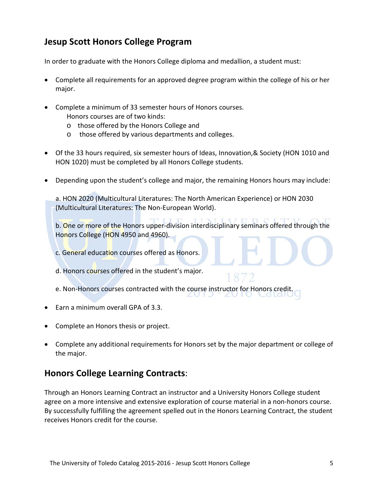# **Jesup Scott Honors College Program**

In order to graduate with the Honors College diploma and medallion, a student must:

- Complete all requirements for an approved degree program within the college of his or her major.
- Complete a minimum of 33 semester hours of Honors courses. Honors courses are of two kinds:
	- o those offered by the Honors College and
	- o those offered by various departments and colleges.
- Of the 33 hours required, six semester hours of Ideas, Innovation,& Society (HON 1010 and HON 1020) must be completed by all Honors College students.
- Depending upon the student's college and major, the remaining Honors hours may include:

a. HON 2020 (Multicultural Literatures: The North American Experience) or HON 2030 (Multicultural Literatures: The Non-European World).

b. One or more of the Honors upper-division interdisciplinary seminars offered through the Honors College (HON 4950 and 4960).

- c. General education courses offered as Honors.
- d. Honors courses offered in the student's major.
- e. Non-Honors courses contracted with the course instructor for Honors credit.
- Earn a minimum overall GPA of 3.3.
- Complete an Honors thesis or project.
- Complete any additional requirements for Honors set by the major department or college of the major.

# **Honors College Learning Contracts**:

Through an Honors Learning Contract an instructor and a University Honors College student agree on a more intensive and extensive exploration of course material in a non-honors course. By successfully fulfilling the agreement spelled out in the Honors Learning Contract, the student receives Honors credit for the course.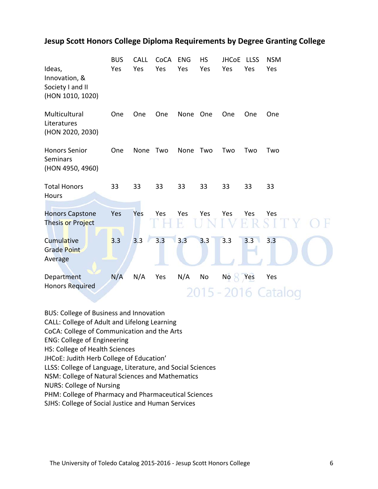# **Jesup Scott Honors College Diploma Requirements by Degree Granting College**

| Ideas,<br>Innovation, &<br>Society I and II<br>(HON 1010, 1020) | <b>BUS</b><br>Yes | <b>CALL</b><br>Yes | CoCA<br>Yes | <b>ENG</b><br>Yes | <b>HS</b><br>Yes | <b>JHCoE</b><br>Yes | <b>LLSS</b><br>Yes | <b>NSM</b><br>Yes  |
|-----------------------------------------------------------------|-------------------|--------------------|-------------|-------------------|------------------|---------------------|--------------------|--------------------|
| Multicultural<br>Literatures<br>(HON 2020, 2030)                | One               | One                | One         | None              | One              | One                 | One                | One                |
| <b>Honors Senior</b><br><b>Seminars</b><br>(HON 4950, 4960)     | One               | None               | Two         | None              | Two              | Two                 | Two                | Two                |
| <b>Total Honors</b><br>Hours                                    | 33                | 33                 | 33          | 33                | 33               | 33                  | 33                 | 33                 |
| <b>Honors Capstone</b><br>Thesis or Project                     | Yes               | Yes                | Yes         | Yes<br>H.         | Yes              | Yes                 | Yes<br>$\Theta$    | Yes                |
| <b>Cumulative</b><br><b>Grade Point</b><br>Average              | 3.3               | 3.3                | 3.3         | 3.3               | 3.3              | 3.3                 | 3.3                | 3.3                |
| Department<br><b>Honors Required</b>                            | N/A               | N/A                | Yes         | N/A               | No<br>$5 - 2$    | No <sub>1</sub>     | Yes                | Yes<br>016 Catalog |

BUS: College of Business and Innovation

CALL: College of Adult and Lifelong Learning

CoCA: College of Communication and the Arts

ENG: College of Engineering

HS: College of Health Sciences

JHCoE: Judith Herb College of Education'

LLSS: College of Language, Literature, and Social Sciences

NSM: College of Natural Sciences and Mathematics

NURS: College of Nursing

PHM: College of Pharmacy and Pharmaceutical Sciences

SJHS: College of Social Justice and Human Services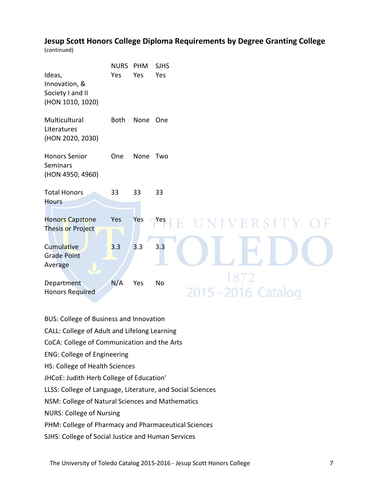# **Jesup Scott Honors College Diploma Requirements by Degree Granting College**

(continued)

| Ideas,<br>Innovation, &<br>Society I and II<br>(HON 1010, 1020) | <b>NURS</b><br>Yes | PHM<br>Yes | <b>SJHS</b><br>Yes          |
|-----------------------------------------------------------------|--------------------|------------|-----------------------------|
| Multicultural<br>Literatures<br>(HON 2020, 2030)                | <b>Both</b>        | None       | One                         |
| <b>Honors Senior</b><br><b>Seminars</b><br>(HON 4950, 4960)     | One                | None       | Two                         |
| <b>Total Honors</b><br><b>Hours</b>                             | 33                 | 33         | 33                          |
| <b>Honors Capstone</b><br>Thesis or Project                     | Yes                | Yes        | <b>TYes</b><br>UNIVERSITY O |
| Cumulative<br><b>Grade Point</b><br>Average                     | 3.3                | 3.3        | 3.3                         |
| Department<br><b>Honors Required</b>                            | N/A                | Yes        | 1872<br>No<br>5 - 2016 Cata |

- BUS: College of Business and Innovation
- CALL: College of Adult and Lifelong Learning
- CoCA: College of Communication and the Arts
- ENG: College of Engineering
- HS: College of Health Sciences
- JHCoE: Judith Herb College of Education'
- LLSS: College of Language, Literature, and Social Sciences
- NSM: College of Natural Sciences and Mathematics
- NURS: College of Nursing
- PHM: College of Pharmacy and Pharmaceutical Sciences
- SJHS: College of Social Justice and Human Services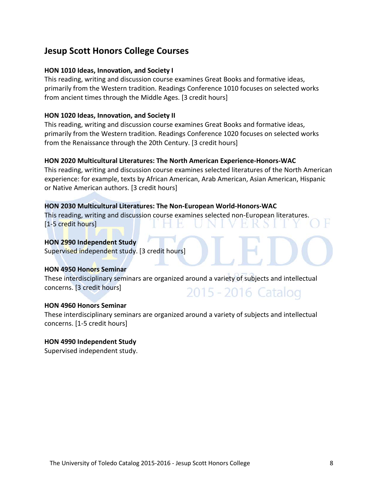# **Jesup Scott Honors College Courses**

### **HON 1010 Ideas, Innovation, and Society I**

This reading, writing and discussion course examines Great Books and formative ideas, primarily from the Western tradition. Readings Conference 1010 focuses on selected works from ancient times through the Middle Ages. [3 credit hours]

# **HON 1020 Ideas, Innovation, and Society II**

This reading, writing and discussion course examines Great Books and formative ideas, primarily from the Western tradition. Readings Conference 1020 focuses on selected works from the Renaissance through the 20th Century. [3 credit hours]

# **HON 2020 Multicultural Literatures: The North American Experience-Honors-WAC**

This reading, writing and discussion course examines selected literatures of the North American experience: for example, texts by African American, Arab American, Asian American, Hispanic or Native American authors. [3 credit hours]

# **HON 2030 Multicultural Literatures: The Non-European World-Honors-WAC**

This reading, writing and discussion course examines selected non-European literatures. [1-5 credit hours]

### **HON 2990 Independent Study**

Supervised independent study. [3 credit hours]

### **HON 4950 Honors Seminar**

These interdisciplinary seminars are organized around a variety of subjects and intellectual concerns. [3 credit hours] 2015 - 2016 Catalog

### **HON 4960 Honors Seminar**

These interdisciplinary seminars are organized around a variety of subjects and intellectual concerns. [1-5 credit hours]

### **HON 4990 Independent Study**

Supervised independent study.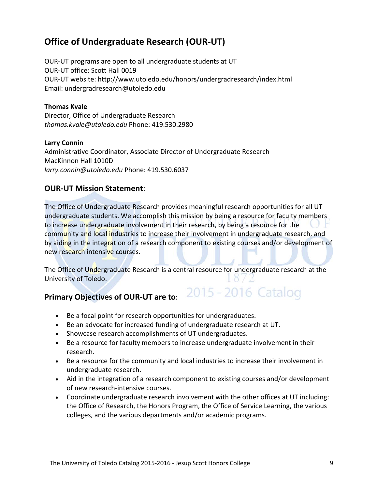# **Office of Undergraduate Research (OUR-UT)**

OUR-UT programs are open to all undergraduate students at UT OUR-UT office: Scott Hall 0019 OUR-UT website: http://www.utoledo.edu/honors/undergradresearch/index.html Email: undergradresearch@utoledo.edu

# **Thomas Kvale**

Director, Office of Undergraduate Research *thomas.kvale@utoledo.edu* Phone: 419.530.2980

### **Larry Connin**

Administrative Coordinator, Associate Director of Undergraduate Research MacKinnon Hall 1010D *larry.connin@utoledo.edu* Phone: 419.530.6037

# **OUR-UT Mission Statement**:

The Office of Undergraduate Research provides meaningful research opportunities for all UT undergraduate students. We accomplish this mission by being a resource for faculty members to increase undergraduate involvement in their research, by being a resource for the community and local industries to increase their involvement in undergraduate research, and by aiding in the integration of a research component to existing courses and/or development of new research intensive courses.

The Office of Undergraduate Research is a central resource for undergraduate research at the University of Toledo.

2015 - 2016 Catalog

# **Primary Objectives of OUR-UT are to:**

- Be a focal point for research opportunities for undergraduates.
- Be an advocate for increased funding of undergraduate research at UT.
- Showcase research accomplishments of UT undergraduates.
- Be a resource for faculty members to increase undergraduate involvement in their research.
- Be a resource for the community and local industries to increase their involvement in undergraduate research.
- Aid in the integration of a research component to existing courses and/or development of new research-intensive courses.
- Coordinate undergraduate research involvement with the other offices at UT including: the Office of Research, the Honors Program, the Office of Service Learning, the various colleges, and the various departments and/or academic programs.